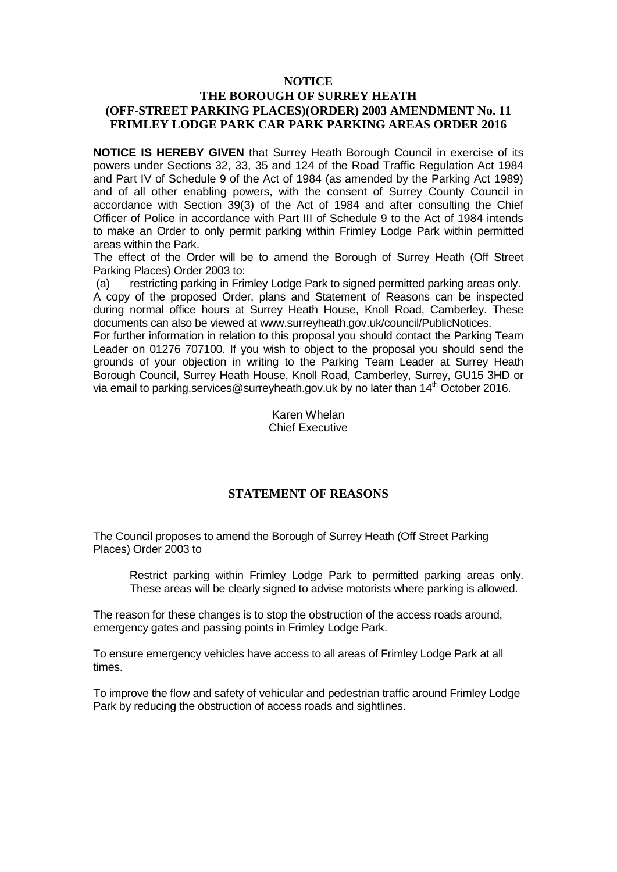#### **NOTICE**

#### **THE BOROUGH OF SURREY HEATH (OFF-STREET PARKING PLACES)(ORDER) 2003 AMENDMENT No. 11 FRIMLEY LODGE PARK CAR PARK PARKING AREAS ORDER 2016**

**NOTICE IS HEREBY GIVEN** that Surrey Heath Borough Council in exercise of its powers under Sections 32, 33, 35 and 124 of the Road Traffic Regulation Act 1984 and Part IV of Schedule 9 of the Act of 1984 (as amended by the Parking Act 1989) and of all other enabling powers, with the consent of Surrey County Council in accordance with Section 39(3) of the Act of 1984 and after consulting the Chief Officer of Police in accordance with Part III of Schedule 9 to the Act of 1984 intends to make an Order to only permit parking within Frimley Lodge Park within permitted areas within the Park.

The effect of the Order will be to amend the Borough of Surrey Heath (Off Street Parking Places) Order 2003 to:

(a) restricting parking in Frimley Lodge Park to signed permitted parking areas only. A copy of the proposed Order, plans and Statement of Reasons can be inspected during normal office hours at Surrey Heath House, Knoll Road, Camberley. These documents can also be viewed at www.surreyheath.gov.uk/council/PublicNotices.

For further information in relation to this proposal you should contact the Parking Team Leader on 01276 707100. If you wish to object to the proposal you should send the grounds of your objection in writing to the Parking Team Leader at Surrey Heath Borough Council, Surrey Heath House, Knoll Road, Camberley, Surrey, GU15 3HD or via email to parking.services@surreyheath.gov.uk by no later than  $14<sup>th</sup>$  October 2016.

> Karen Whelan Chief Executive

#### **STATEMENT OF REASONS**

The Council proposes to amend the Borough of Surrey Heath (Off Street Parking Places) Order 2003 to

Restrict parking within Frimley Lodge Park to permitted parking areas only. These areas will be clearly signed to advise motorists where parking is allowed.

The reason for these changes is to stop the obstruction of the access roads around, emergency gates and passing points in Frimley Lodge Park.

To ensure emergency vehicles have access to all areas of Frimley Lodge Park at all times.

To improve the flow and safety of vehicular and pedestrian traffic around Frimley Lodge Park by reducing the obstruction of access roads and sightlines.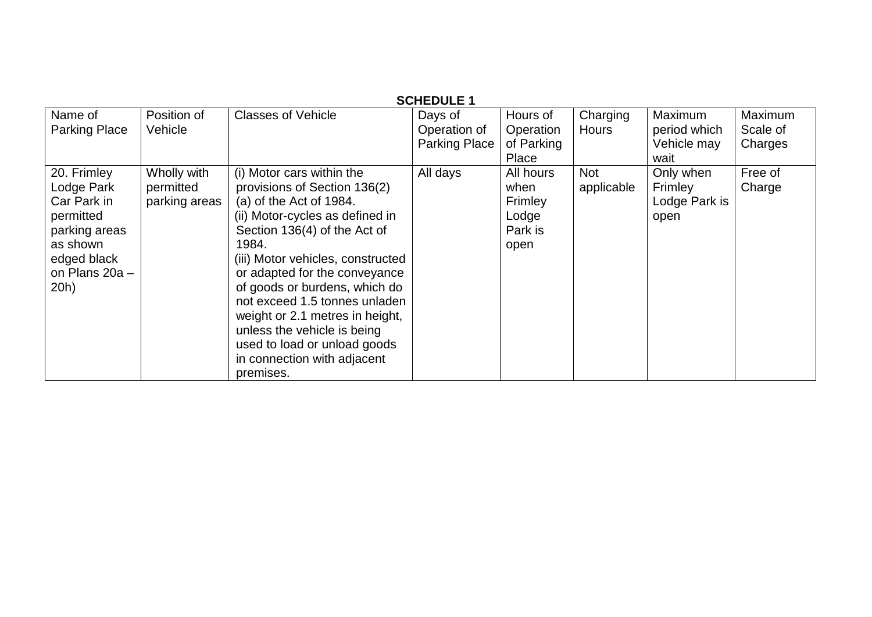| <b>SCHEDULE 1</b>                                                                                                           |                                           |                                                                                                                                                                                                                                                                                                                                                                                                                                                        |                                                 |                                                          |                          |                                                |                                |
|-----------------------------------------------------------------------------------------------------------------------------|-------------------------------------------|--------------------------------------------------------------------------------------------------------------------------------------------------------------------------------------------------------------------------------------------------------------------------------------------------------------------------------------------------------------------------------------------------------------------------------------------------------|-------------------------------------------------|----------------------------------------------------------|--------------------------|------------------------------------------------|--------------------------------|
| Name of<br><b>Parking Place</b>                                                                                             | Position of<br>Vehicle                    | <b>Classes of Vehicle</b>                                                                                                                                                                                                                                                                                                                                                                                                                              | Days of<br>Operation of<br><b>Parking Place</b> | Hours of<br>Operation<br>of Parking<br>Place             | Charging<br><b>Hours</b> | Maximum<br>period which<br>Vehicle may<br>wait | Maximum<br>Scale of<br>Charges |
| 20. Frimley<br>Lodge Park<br>Car Park in<br>permitted<br>parking areas<br>as shown<br>edged black<br>on Plans 20a -<br>20h) | Wholly with<br>permitted<br>parking areas | (i) Motor cars within the<br>provisions of Section 136(2)<br>(a) of the Act of 1984.<br>(ii) Motor-cycles as defined in<br>Section 136(4) of the Act of<br>1984.<br>(iii) Motor vehicles, constructed<br>or adapted for the conveyance<br>of goods or burdens, which do<br>not exceed 1.5 tonnes unladen<br>weight or 2.1 metres in height,<br>unless the vehicle is being<br>used to load or unload goods<br>in connection with adjacent<br>premises. | All days                                        | All hours<br>when<br>Frimley<br>Lodge<br>Park is<br>open | <b>Not</b><br>applicable | Only when<br>Frimley<br>Lodge Park is<br>open  | Free of<br>Charge              |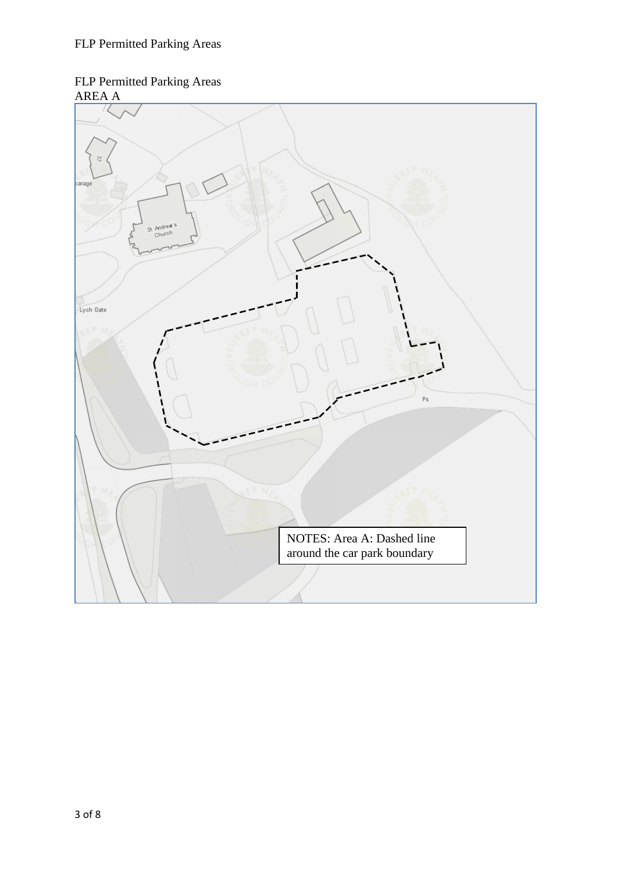### FLP Permitted Parking Areas AREA A

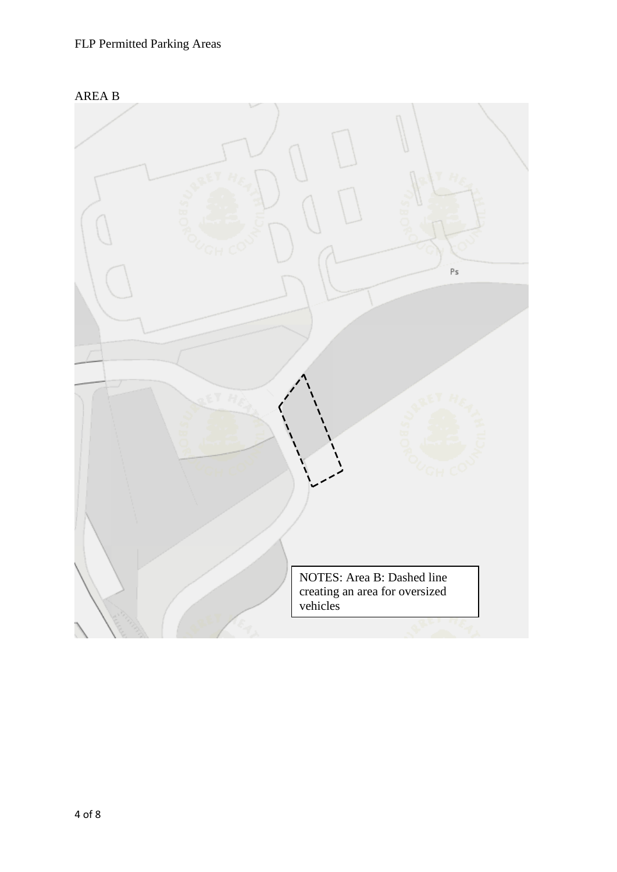

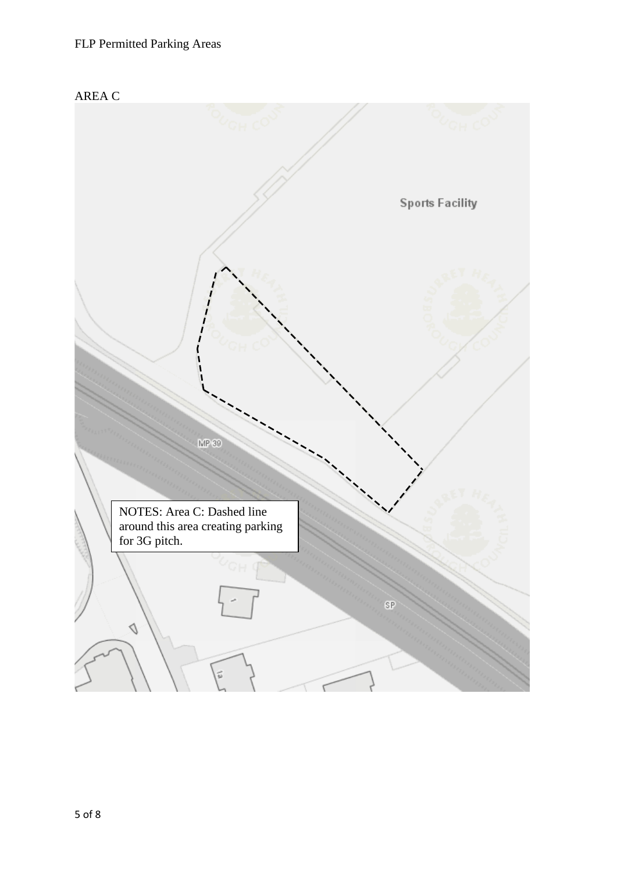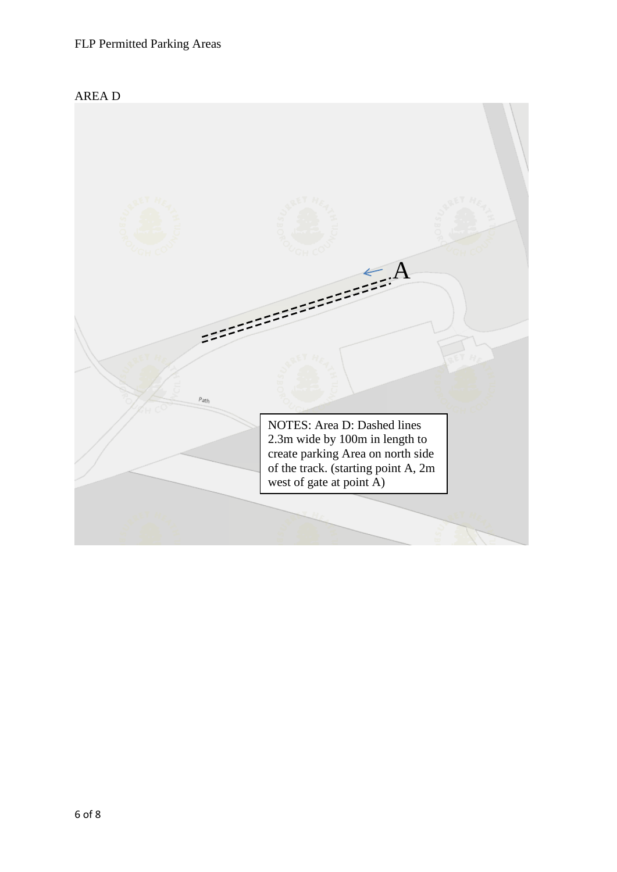

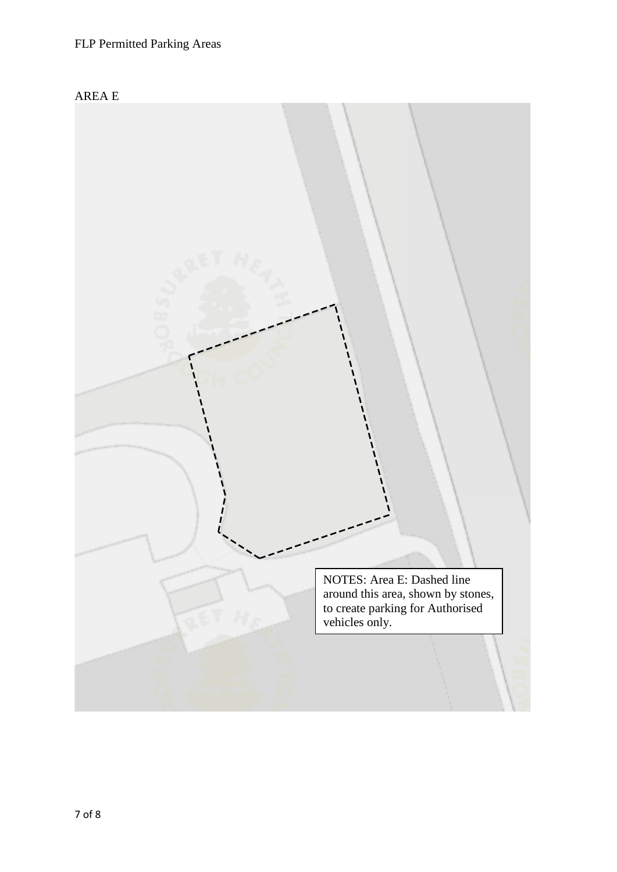

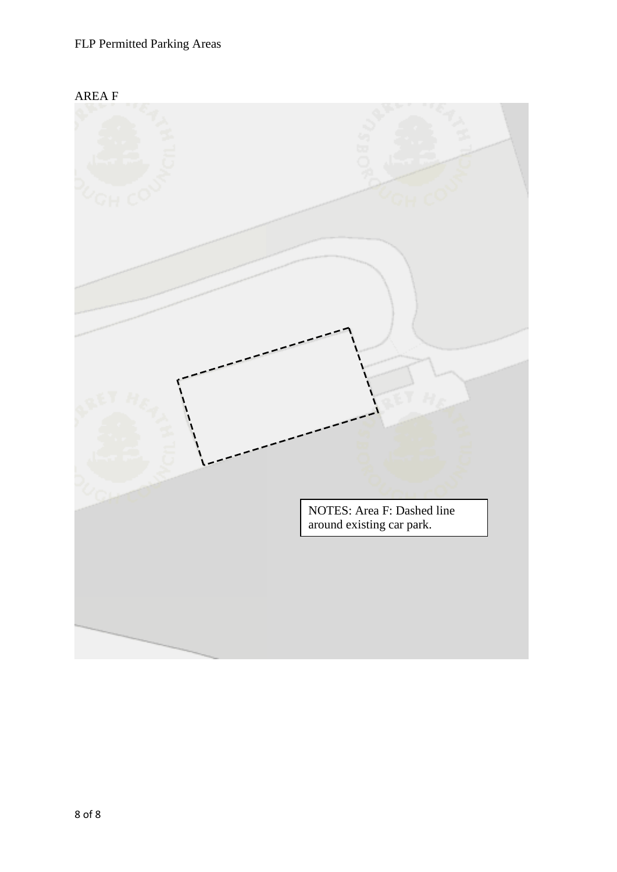

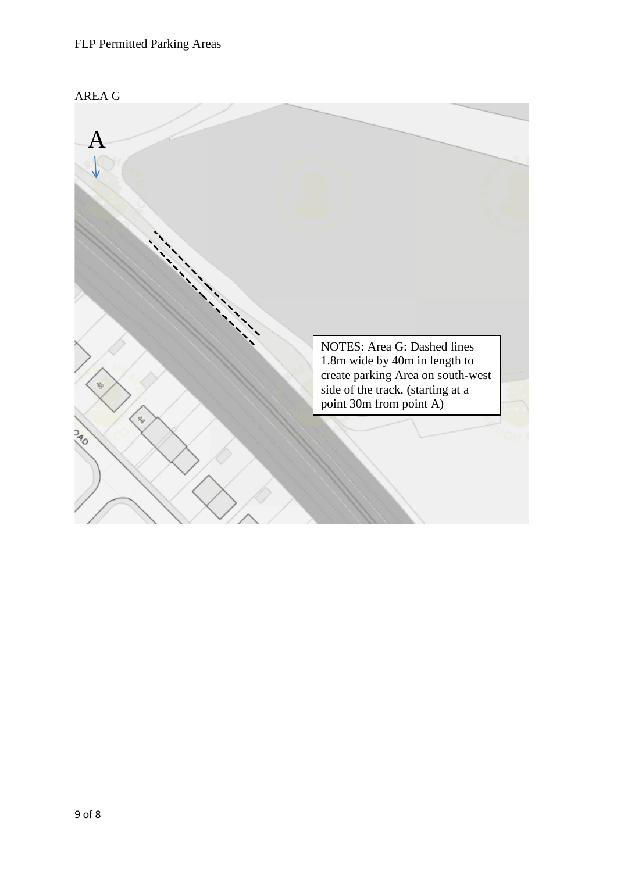